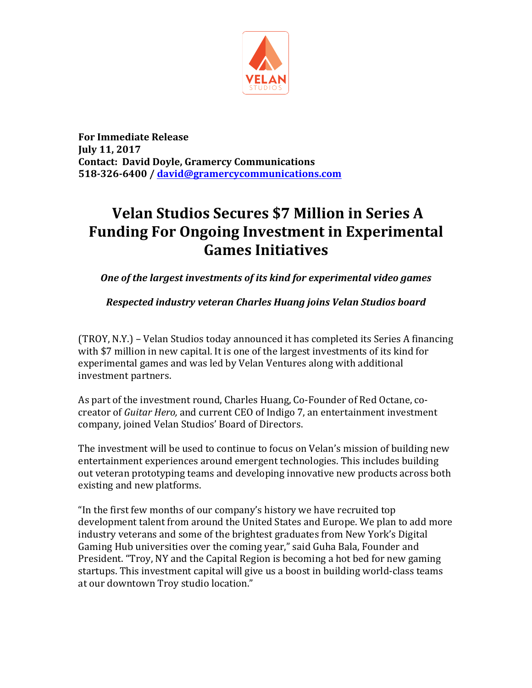

**For Immediate Release July 11, 2017 Contact: David Doyle, Gramercy Communications 518-326-6400 / david@gramercycommunications.com**

## **Velan Studios Secures \$7 Million in Series A Funding For Ongoing Investment in Experimental Games Initiatives**

**One of the largest investments of its kind for experimental video games** 

## *Respected industry veteran Charles Huang joins Velan Studios board*

(TROY, N.Y.) – Velan Studios today announced it has completed its Series A financing with \$7 million in new capital. It is one of the largest investments of its kind for experimental games and was led by Velan Ventures along with additional investment partners.

As part of the investment round, Charles Huang, Co-Founder of Red Octane, cocreator of *Guitar Hero*, and current CEO of Indigo 7, an entertainment investment company, joined Velan Studios' Board of Directors.

The investment will be used to continue to focus on Velan's mission of building new entertainment experiences around emergent technologies. This includes building out veteran prototyping teams and developing innovative new products across both existing and new platforms.

"In the first few months of our company's history we have recruited top development talent from around the United States and Europe. We plan to add more industry veterans and some of the brightest graduates from New York's Digital Gaming Hub universities over the coming year," said Guha Bala, Founder and President. "Troy, NY and the Capital Region is becoming a hot bed for new gaming startups. This investment capital will give us a boost in building world-class teams at our downtown Troy studio location."